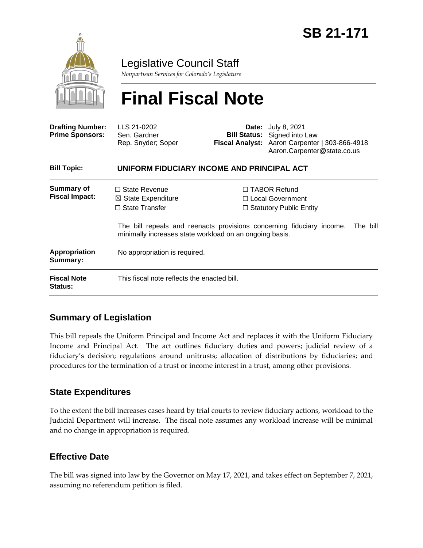

# Legislative Council Staff

*Nonpartisan Services for Colorado's Legislature*

# **Final Fiscal Note**

| <b>Drafting Number:</b><br><b>Prime Sponsors:</b> | LLS 21-0202<br>Sen. Gardner<br>Rep. Snyder; Soper                                                                                         |  | <b>Date:</b> July 8, 2021<br><b>Bill Status:</b> Signed into Law<br>Fiscal Analyst: Aaron Carpenter   303-866-4918<br>Aaron.Carpenter@state.co.us                |  |
|---------------------------------------------------|-------------------------------------------------------------------------------------------------------------------------------------------|--|------------------------------------------------------------------------------------------------------------------------------------------------------------------|--|
| <b>Bill Topic:</b>                                | UNIFORM FIDUCIARY INCOME AND PRINCIPAL ACT                                                                                                |  |                                                                                                                                                                  |  |
| <b>Summary of</b><br><b>Fiscal Impact:</b>        | $\Box$ State Revenue<br>$\boxtimes$ State Expenditure<br>$\Box$ State Transfer<br>minimally increases state workload on an ongoing basis. |  | $\Box$ TABOR Refund<br>□ Local Government<br>$\Box$ Statutory Public Entity<br>The bill repeals and reenacts provisions concerning fiduciary income.<br>The bill |  |
| <b>Appropriation</b><br>Summary:                  | No appropriation is required.                                                                                                             |  |                                                                                                                                                                  |  |
| <b>Fiscal Note</b><br><b>Status:</b>              | This fiscal note reflects the enacted bill.                                                                                               |  |                                                                                                                                                                  |  |

# **Summary of Legislation**

This bill repeals the Uniform Principal and Income Act and replaces it with the Uniform Fiduciary Income and Principal Act. The act outlines fiduciary duties and powers; judicial review of a fiduciary's decision; regulations around unitrusts; allocation of distributions by fiduciaries; and procedures for the termination of a trust or income interest in a trust, among other provisions.

#### **State Expenditures**

To the extent the bill increases cases heard by trial courts to review fiduciary actions, workload to the Judicial Department will increase. The fiscal note assumes any workload increase will be minimal and no change in appropriation is required.

# **Effective Date**

The bill was signed into law by the Governor on May 17, 2021, and takes effect on September 7, 2021, assuming no referendum petition is filed.